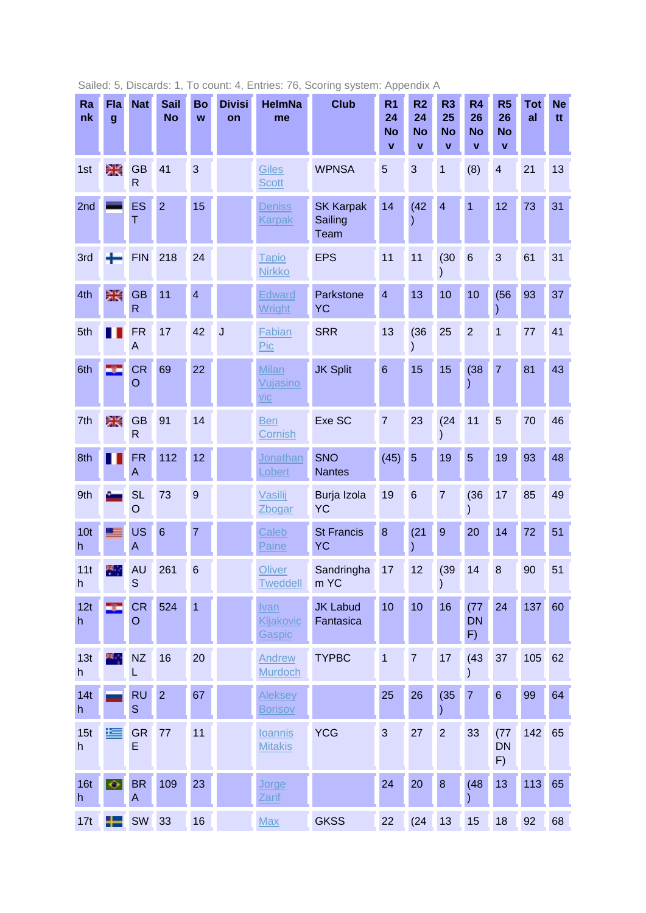| Ra<br>nk             | Fla<br>$\boldsymbol{g}$ | <b>Nat</b>                             | <b>Sail</b><br><b>No</b> | Bo<br>W        | <b>Divisi</b><br>on | <b>HelmNa</b><br>me                    | <b>Club</b>                         | R <sub>1</sub><br>24<br><b>No</b><br>$\mathbf{v}$ | R <sub>2</sub><br>24<br><b>No</b><br>$\mathbf{v}$ | R <sub>3</sub><br>25<br><b>No</b><br>$\mathbf{v}$ | R <sub>4</sub><br>26<br><b>No</b><br>$\mathbf{v}$ | R <sub>5</sub><br>26<br><b>No</b><br>$\mathbf{v}$ | <b>Tot</b><br>al | <b>Ne</b><br>tt |
|----------------------|-------------------------|----------------------------------------|--------------------------|----------------|---------------------|----------------------------------------|-------------------------------------|---------------------------------------------------|---------------------------------------------------|---------------------------------------------------|---------------------------------------------------|---------------------------------------------------|------------------|-----------------|
| 1st                  | Ж                       | <b>GB</b><br>$\mathsf{R}$              | 41                       | 3              |                     | Giles<br><b>Scott</b>                  | <b>WPNSA</b>                        | 5                                                 | 3                                                 | 1                                                 | (8)                                               | $\overline{\mathbf{4}}$                           | 21               | 13              |
| 2nd                  |                         | ES<br>T                                | $\overline{2}$           | 15             |                     | <b>Deniss</b><br><b>Karpak</b>         | <b>SK Karpak</b><br>Sailing<br>Team | 14                                                | (42)                                              | $\overline{4}$                                    | $\overline{1}$                                    | 12                                                | 73               | 31              |
| 3rd                  |                         | <b>FIN</b>                             | 218                      | 24             |                     | <b>Tapio</b><br><b>Nirkko</b>          | <b>EPS</b>                          | 11                                                | 11                                                | (30)                                              | 6                                                 | 3                                                 | 61               | 31              |
| 4th                  | Ж                       | <b>GB</b><br>$\mathsf{R}$              | 11                       | $\overline{4}$ |                     | <b>Edward</b><br>Wright                | Parkstone<br>YC                     | $\overline{4}$                                    | 13                                                | 10                                                | 10                                                | (56)                                              | 93               | 37              |
| 5th                  |                         | <b>FR</b><br>A                         | 17                       | 42             | J                   | Fabian<br>Pic                          | <b>SRR</b>                          | 13                                                | (36)                                              | 25                                                | $\overline{2}$                                    | $\overline{1}$                                    | 77               | 41              |
| 6th                  |                         | <b>CR</b><br>$\circ$                   | 69                       | 22             |                     | <b>Milan</b><br>Vujasino<br><u>vic</u> | <b>JK Split</b>                     | $6\phantom{1}6$                                   | 15                                                | 15                                                | (38)                                              | $\overline{7}$                                    | 81               | 43              |
| 7th                  | Ж                       | <b>GB</b><br>$\mathsf{R}$              | 91                       | 14             |                     | <b>Ben</b><br>Cornish                  | Exe SC                              | $\overline{7}$                                    | 23                                                | (24)                                              | 11                                                | 5                                                 | 70               | 46              |
| 8th                  |                         | <b>FR</b><br>$\boldsymbol{\mathsf{A}}$ | 112                      | 12             |                     | Jonathan<br>Lobert                     | <b>SNO</b><br><b>Nantes</b>         | (45)                                              | 5                                                 | 19                                                | 5                                                 | 19                                                | 93               | 48              |
| 9th                  |                         | <b>SL</b><br>$\overline{O}$            | 73                       | 9              |                     | Vasilij<br>Zbogar                      | Burja Izola<br><b>YC</b>            | 19                                                | $6\phantom{1}6$                                   | $\overline{7}$                                    | (36)                                              | 17                                                | 85               | 49              |
| 10 <sub>t</sub><br>h |                         | <b>US</b><br>A                         | $6\phantom{1}6$          | 7              |                     | Caleb<br><b>Paine</b>                  | <b>St Francis</b><br>YC             | 8                                                 | (21)                                              | $\overline{9}$                                    | 20                                                | 14                                                | 72               | 51              |
| 11t<br>h.            | ж.,                     | <b>AU</b><br>S                         | 261                      | 6              |                     | Oliver<br><b>Tweddell</b>              | Sandringha<br>m YC                  | 17                                                | 12                                                | (39)<br>$\mathcal{E}$                             | 14                                                | 8                                                 | 90               | 51              |
| 12t<br>h             | -81                     | <b>CR</b><br>$\circ$                   | 524                      | $\overline{1}$ |                     | Ivan<br>Kljakovic<br>Gaspic            | <b>JK Labud</b><br>Fantasica        | 10                                                | 10                                                | 16                                                | (77)<br><b>DN</b><br>F)                           | 24                                                | 137              | 60              |
| 13t<br>h             | ж.                      | NZ<br>L                                | 16                       | 20             |                     | Andrew<br>Murdoch                      | <b>TYPBC</b>                        | $\mathbf 1$                                       | $\overline{7}$                                    | 17                                                | (43)                                              | 37                                                | 105              | 62              |
| 14t<br>h             |                         | <b>RU</b><br>$\mathbf S$               | $\overline{2}$           | 67             |                     | Aleksey<br><b>Borisov</b>              |                                     | 25                                                | 26                                                | (35)                                              | $\overline{7}$                                    | $\,6\,$                                           | 99               | 64              |
| 15t<br>h             | <u>ie</u>               | <b>GR</b><br>E                         | 77                       | 11             |                     | <b>loannis</b><br><b>Mitakis</b>       | <b>YCG</b>                          | 3                                                 | 27                                                | $\overline{2}$                                    | 33                                                | (77)<br><b>DN</b><br>F)                           | 142              | 65              |
| 16t<br>h             | $\bullet$               | <b>BR</b><br>A                         | 109                      | 23             |                     | Jorge<br>Zarif                         |                                     | 24                                                | 20                                                | $\boldsymbol{8}$                                  | (48)                                              | 13                                                | 113              | 65              |
| 17t                  | ┿                       | SW                                     | 33                       | 16             |                     | <b>Max</b>                             | <b>GKSS</b>                         | 22                                                | (24)                                              | 13                                                | 15                                                | 18                                                | 92               | 68              |

Sailed: 5, Discards: 1, To count: 4, Entries: 76, Scoring system: Appendix A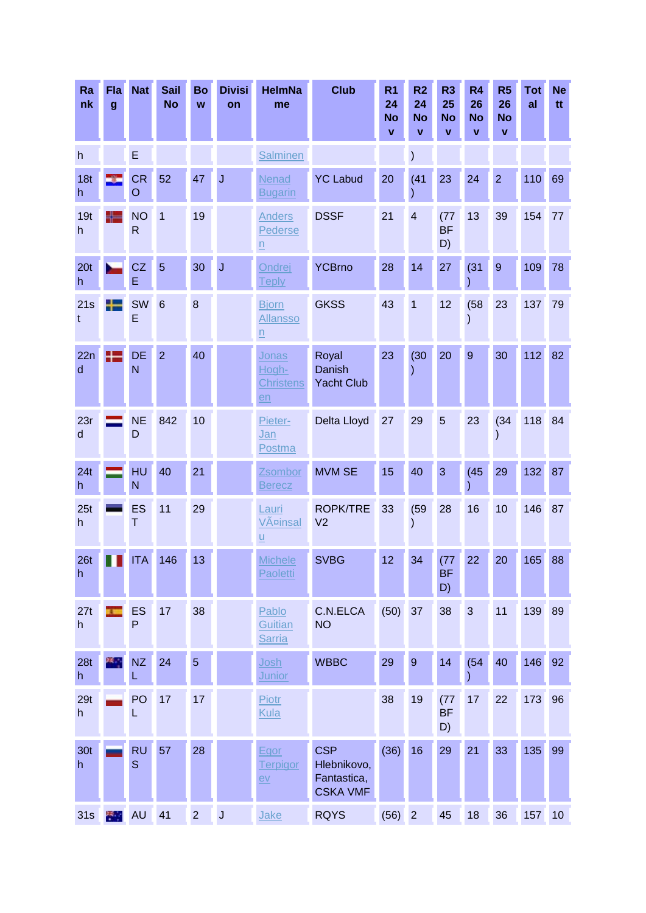| Ra<br>nk             | Fla<br>g       | <b>Nat</b>                  | <b>Sail</b><br><b>No</b> | Bo<br>W        | <b>Divisi</b><br>on | <b>HelmNa</b><br>me                                | <b>Club</b>                                                 | R <sub>1</sub><br>24<br><b>No</b><br>$\mathbf{V}$ | R <sub>2</sub><br>24<br><b>No</b><br>v | R <sub>3</sub><br>25<br><b>No</b><br>V | R <sub>4</sub><br>26<br><b>No</b><br>$\mathbf{V}$ | R <sub>5</sub><br>26<br><b>No</b><br>$\mathbf{V}$ | <b>Tot</b><br>al | <b>Ne</b><br>tt |
|----------------------|----------------|-----------------------------|--------------------------|----------------|---------------------|----------------------------------------------------|-------------------------------------------------------------|---------------------------------------------------|----------------------------------------|----------------------------------------|---------------------------------------------------|---------------------------------------------------|------------------|-----------------|
| h                    |                | E                           |                          |                |                     | <b>Salminen</b>                                    |                                                             |                                                   |                                        |                                        |                                                   |                                                   |                  |                 |
| 18t<br>h             |                | <b>CR</b><br>$\overline{O}$ | 52                       | 47             | $\overline{J}$      | Nenad<br><b>Bugarin</b>                            | <b>YC Labud</b>                                             | 20                                                | (41)                                   | 23                                     | 24                                                | $\overline{2}$                                    | 110              | 69              |
| 19t<br>h             | ╄═             | <b>NO</b><br>$\mathsf{R}$   | $\mathbf{1}$             | 19             |                     | <b>Anders</b><br>Pederse<br>$\underline{n}$        | <b>DSSF</b>                                                 | 21                                                | $\overline{\mathbf{4}}$                | (77)<br><b>BF</b><br>D)                | 13                                                | 39                                                | 154              | 77              |
| 20 <sub>t</sub><br>h |                | CZ<br>E                     | 5                        | 30             | $\overline{J}$      | Ondrej<br><u>Teply</u>                             | <b>YCBrno</b>                                               | 28                                                | 14                                     | 27                                     | (31)                                              | $9$                                               | 109              | 78              |
| 21s<br>t             |                | SW<br>E                     | $6\phantom{1}6$          | 8              |                     | <b>Bjorn</b><br><b>Allansso</b><br>$\underline{n}$ | <b>GKSS</b>                                                 | 43                                                | $\overline{1}$                         | 12                                     | (58)<br>$\mathcal{E}$                             | 23                                                | 137              | 79              |
| 22n<br>d             | 25             | <b>DE</b><br>N              | $\overline{2}$           | 40             |                     | <b>Jonas</b><br>Hogh-<br><b>Christens</b><br>en    | Royal<br>Danish<br><b>Yacht Club</b>                        | 23                                                | (30)                                   | 20                                     | $\overline{9}$                                    | 30                                                | 112              | 82              |
| 23r<br>$\sf d$       |                | <b>NE</b><br>D              | 842                      | 10             |                     | Pieter-<br>Jan<br>Postma                           | Delta Lloyd                                                 | 27                                                | 29                                     | 5                                      | 23                                                | (34)                                              | 118              | 84              |
| 24t<br>h             |                | HU<br>N                     | 40                       | 21             |                     | Zsombor<br><b>Berecz</b>                           | <b>MVM SE</b>                                               | 15                                                | 40                                     | 3                                      | (45)                                              | 29                                                | 132              | 87              |
| 25t<br>h             |                | ES<br>Τ                     | 11                       | 29             |                     | Lauri<br>Väinsal<br>$\underline{u}$                | <b>ROPK/TRE</b><br>V <sub>2</sub>                           | 33                                                | (59)                                   | 28                                     | 16                                                | 10                                                | 146              | 87              |
| 26 <sub>t</sub><br>h |                | <b>ITA</b>                  | 146                      | 13             |                     | <b>Michele</b><br>Paoletti                         | <b>SVBG</b>                                                 | 12 <sub>2</sub>                                   | 34                                     | (77)<br><b>BF</b><br>D)                | 22                                                | 20                                                | 165              | 88              |
| 27t<br>h             | $\overline{1}$ | ES<br>P                     | 17                       | 38             |                     | Pablo<br>Guitian<br><b>Sarria</b>                  | C.N.ELCA<br><b>NO</b>                                       | (50)                                              | 37                                     | 38                                     | 3                                                 | 11                                                | 139              | 89              |
| 28t<br>h             | ж.             | NZ<br>L                     | 24                       | 5              |                     | Josh<br><b>Junior</b>                              | <b>WBBC</b>                                                 | 29                                                | $\overline{9}$                         | 14                                     | (54)<br>∖                                         | 40                                                | 146              | 92              |
| 29t<br>h             |                | PO<br>L                     | 17                       | 17             |                     | <b>Piotr</b><br>Kula                               |                                                             | 38                                                | 19                                     | (77)<br><b>BF</b><br>D)                | 17                                                | 22                                                | 173              | 96              |
| 30 <sub>t</sub><br>h |                | <b>RU</b><br>S              | 57                       | 28             |                     | Egor<br><b>Terpigor</b><br>eV                      | <b>CSP</b><br>Hlebnikovo,<br>Fantastica,<br><b>CSKA VMF</b> | (36)                                              | 16                                     | 29                                     | 21                                                | 33                                                | 135              | 99              |
| 31s                  | 樂學             | <b>AU</b>                   | 41                       | $\overline{2}$ | $\mathsf J$         | Jake                                               | <b>RQYS</b>                                                 | (56)                                              | $\overline{2}$                         | 45                                     | 18                                                | 36                                                | 157              | 10              |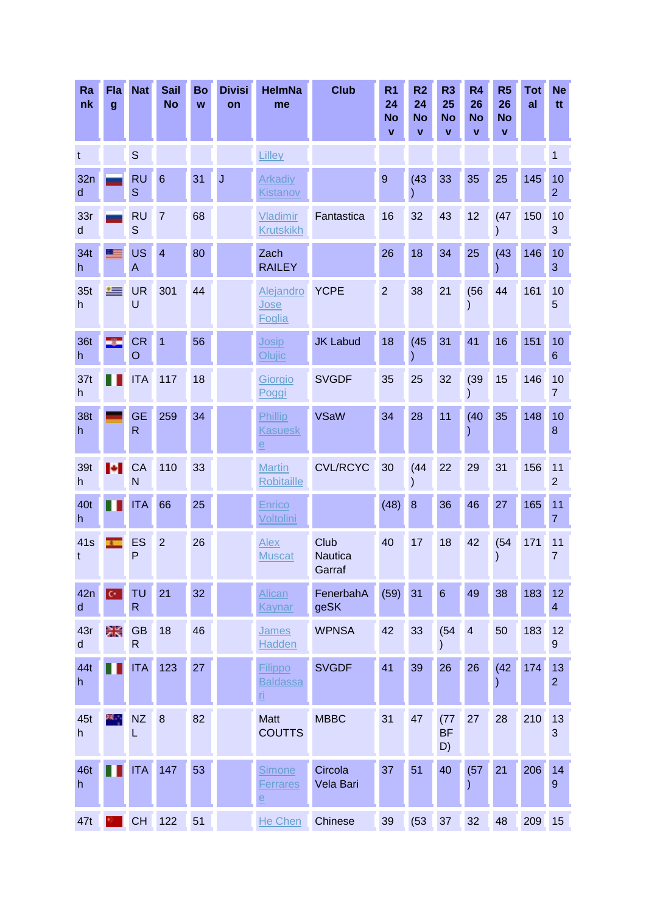| Ra<br>nk       | Fla<br>g             | <b>Nat</b>                  | <b>Sail</b><br><b>No</b> | Bo<br>W | <b>Divisi</b><br>on | <b>HelmNa</b><br>me                                          | <b>Club</b>                      | R <sub>1</sub><br>24<br><b>No</b><br>$\mathbf{V}$ | R <sub>2</sub><br>24<br><b>No</b><br>v | R <sub>3</sub><br>25<br><b>No</b><br>v | R <sub>4</sub><br>26<br><b>No</b><br>$\mathbf{V}$ | R <sub>5</sub><br>26<br><b>No</b><br>V | <b>Tot</b><br>al | <b>Ne</b><br>tt        |
|----------------|----------------------|-----------------------------|--------------------------|---------|---------------------|--------------------------------------------------------------|----------------------------------|---------------------------------------------------|----------------------------------------|----------------------------------------|---------------------------------------------------|----------------------------------------|------------------|------------------------|
| t              |                      | S                           |                          |         |                     | Lilley                                                       |                                  |                                                   |                                        |                                        |                                                   |                                        |                  | 1                      |
| 32n<br>d       |                      | <b>RU</b><br>S              | $6\phantom{1}6$          | 31      | $\overline{J}$      | <b>Arkadiy</b><br><b>Kistanov</b>                            |                                  | 9                                                 | (43)                                   | 33                                     | 35                                                | 25                                     | 145              | 10<br>$\overline{2}$   |
| 33r<br>d       |                      | <b>RU</b><br>S              | $\overline{7}$           | 68      |                     | Vladimir<br><b>Krutskikh</b>                                 | Fantastica                       | 16                                                | 32                                     | 43                                     | 12                                                | (47)                                   | 150              | 10<br>3                |
| 34t<br>h       | <u>a se</u>          | <b>US</b><br>A              | $\overline{4}$           | 80      |                     | Zach<br><b>RAILEY</b>                                        |                                  | 26                                                | 18                                     | 34                                     | 25                                                | (43)                                   | 146              | 10<br>3                |
| 35t<br>h       | 一                    | <b>UR</b><br>U              | 301                      | 44      |                     | Alejandro<br>Jose<br>Foglia                                  | <b>YCPE</b>                      | $\overline{2}$                                    | 38                                     | 21                                     | (56)                                              | 44                                     | 161              | 10<br>5                |
| 36t<br>h       | ÷                    | <b>CR</b><br>$\circ$        | $\overline{1}$           | 56      |                     | Josip<br>Olujic                                              | <b>JK Labud</b>                  | 18                                                | (45)                                   | 31                                     | 41                                                | 16                                     | 151              | 10<br>6                |
| 37t<br>h       |                      | <b>ITA</b>                  | 117                      | 18      |                     | Giorgio<br>Poggi                                             | <b>SVGDF</b>                     | 35                                                | 25                                     | 32                                     | (39)<br>$\mathcal{E}$                             | 15                                     | 146              | 10<br>$\overline{7}$   |
| 38t<br>h       |                      | <b>GE</b><br>$\mathsf{R}$   | 259                      | 34      |                     | Phillip<br><b>Kasuesk</b><br>$\overline{e}$                  | <b>VSaW</b>                      | 34                                                | 28                                     | 11                                     | (40)                                              | 35                                     | 148              | 10<br>$\bf 8$          |
| 39t<br>h       | ы                    | CA<br>N                     | 110                      | 33      |                     | <b>Martin</b><br>Robitaille                                  | <b>CVL/RCYC</b>                  | 30                                                | (44)                                   | 22                                     | 29                                                | 31                                     | 156              | 11<br>$\overline{2}$   |
| 40t<br>h       |                      | <b>ITA</b>                  | 66                       | 25      |                     | Enrico<br>Voltolini                                          |                                  | (48)                                              | 8                                      | 36                                     | 46                                                | 27                                     | 165              | 11<br>$\overline{7}$   |
| 41s<br>t       |                      | ES<br>P                     | $\overline{2}$           | 26      |                     | Alex<br><b>Muscat</b>                                        | Club<br><b>Nautica</b><br>Garraf | 40                                                | 17                                     | 18                                     | 42                                                | (54)                                   | 171              | 11<br>$\overline{7}$   |
| 42n<br>$\sf d$ | $\mathbf{C}^{\perp}$ | <b>TU</b><br>R              | 21                       | 32      |                     | Alican<br>Kaynar                                             | FenerbahA<br>geSK                | (59)                                              | 31                                     | $6\phantom{1}6$                        | 49                                                | 38                                     | 183              | 12<br>4                |
| 43r<br>d       | ≋≼                   | <b>GB</b><br>$\overline{R}$ | 18                       | 46      |                     | James<br><b>Hadden</b>                                       | <b>WPNSA</b>                     | 42                                                | 33                                     | (54)                                   | $\overline{4}$                                    | 50                                     | 183              | 12<br>$\boldsymbol{9}$ |
| 44t<br>h       |                      | <b>ITA</b>                  | 123                      | 27      |                     | Filippo<br><b>Baldassa</b><br><u>ri</u>                      | <b>SVGDF</b>                     | 41                                                | 39                                     | 26                                     | 26                                                | (42)                                   | 174              | 13<br>$\overline{2}$   |
| 45t<br>h       | ж.,                  | <b>NZ</b><br>L              | 8                        | 82      |                     | <b>Matt</b><br><b>COUTTS</b>                                 | <b>MBBC</b>                      | 31                                                | 47                                     | (77)<br><b>BF</b><br>D)                | 27                                                | 28                                     | 210              | 13<br>$\mathbf{3}$     |
| 46t<br>h       |                      | <b>ITA</b>                  | 147                      | 53      |                     | <b>Simone</b><br><b>Ferrares</b><br>$\underline{\mathsf{e}}$ | Circola<br>Vela Bari             | 37                                                | 51                                     | 40                                     | (57)<br>)                                         | 21                                     | 206              | 14<br>$\overline{9}$   |
| 47t            |                      | <b>CH</b>                   | 122                      | 51      |                     | He Chen                                                      | Chinese                          | 39                                                | (53)                                   | 37                                     | 32                                                | 48                                     | 209              | 15                     |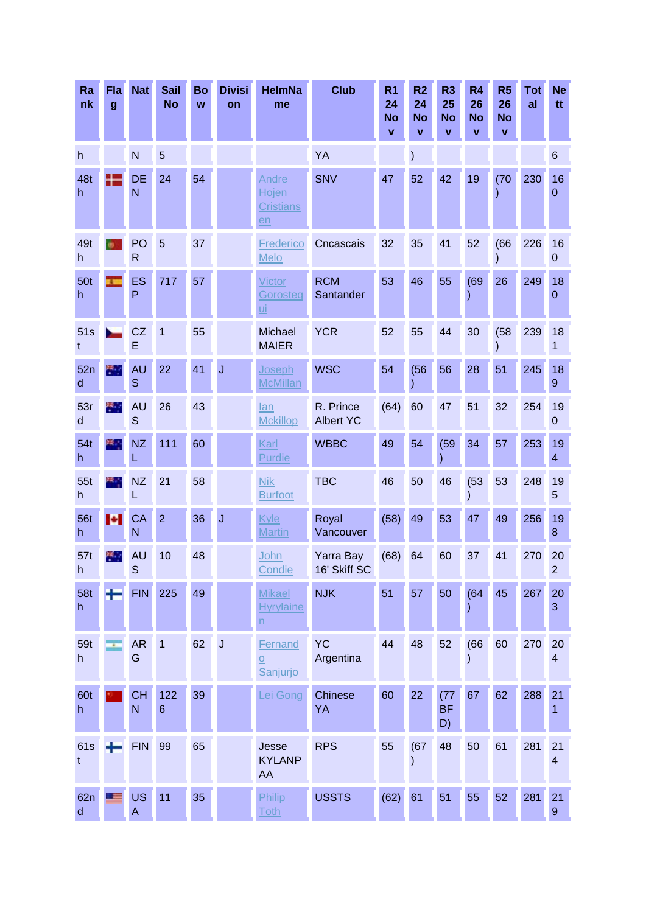| Ra<br>nk            | Fla<br>$\boldsymbol{g}$ | <b>Nat</b>                | <b>Sail</b><br><b>No</b> | Bo<br>W | <b>Divisi</b><br>on | <b>HelmNa</b><br>me                                          | <b>Club</b>                   | R <sub>1</sub><br>24<br><b>No</b><br>$\mathbf{V}$ | R <sub>2</sub><br>24<br><b>No</b><br>v | R <sub>3</sub><br>25<br><b>No</b><br>$\mathbf{v}$ | R <sub>4</sub><br>26<br><b>No</b><br>$\mathbf{V}$ | R <sub>5</sub><br>26<br><b>No</b><br>V | <b>Tot</b><br>al | <b>Ne</b><br>tt.              |
|---------------------|-------------------------|---------------------------|--------------------------|---------|---------------------|--------------------------------------------------------------|-------------------------------|---------------------------------------------------|----------------------------------------|---------------------------------------------------|---------------------------------------------------|----------------------------------------|------------------|-------------------------------|
| h                   |                         | N                         | 5                        |         |                     |                                                              | YA                            |                                                   |                                        |                                                   |                                                   |                                        |                  | $6\phantom{.}$                |
| 48t<br>h            |                         | <b>DE</b><br>N            | 24                       | 54      |                     | Andre<br>Hojen<br><b>Cristians</b><br>$en$                   | <b>SNV</b>                    | 47                                                | 52                                     | 42                                                | 19                                                | (70)                                   | 230              | 16<br>0                       |
| 49t<br>h.           |                         | PO<br>$\mathsf{R}$        | 5                        | 37      |                     | Frederico<br>Melo                                            | Cncascais                     | 32                                                | 35                                     | 41                                                | 52                                                | (66)                                   | 226              | 16<br>0                       |
| 50t<br>h            |                         | <b>ES</b><br>P            | 717                      | 57      |                     | Victor<br>Gorosteg<br><u>ui</u>                              | <b>RCM</b><br>Santander       | 53                                                | 46                                     | 55                                                | (69)<br>)                                         | 26                                     | 249              | 18<br>0                       |
| 51s<br>t            |                         | CZ<br>E                   | 1                        | 55      |                     | Michael<br><b>MAIER</b>                                      | <b>YCR</b>                    | 52                                                | 55                                     | 44                                                | 30                                                | (58)                                   | 239              | 18<br>1                       |
| 52n<br>$\mathsf{d}$ | 米里                      | AU<br>S                   | 22                       | 41      | J                   | Joseph<br><b>McMillan</b>                                    | <b>WSC</b>                    | 54                                                | (56)                                   | 56                                                | 28                                                | 51                                     | 245              | 18<br>9                       |
| 53r<br>$\sf d$      | ×.                      | <b>AU</b><br>$\mathsf{S}$ | 26                       | 43      |                     | lan<br><b>Mckillop</b>                                       | R. Prince<br><b>Albert YC</b> | (64)                                              | 60                                     | 47                                                | 51                                                | 32                                     | 254              | 19<br>0                       |
| 54t<br>h            | ぼい                      | <b>NZ</b>                 | 111                      | 60      |                     | Karl<br>Purdie                                               | <b>WBBC</b>                   | 49                                                | 54                                     | (59)                                              | 34                                                | 57                                     | 253              | 19<br>4                       |
| 55t<br>h            | ĸ.                      | <b>NZ</b><br>L            | 21                       | 58      |                     | <b>Nik</b><br><b>Burfoot</b>                                 | <b>TBC</b>                    | 46                                                | 50                                     | 46                                                | (53)<br>$\mathcal{E}$                             | 53                                     | 248              | 19<br>5                       |
| <b>56t</b><br>h     | Ð.                      | CA<br>N                   | $\overline{2}$           | 36      | $\bigcup$           | Kyle<br><b>Martin</b>                                        | Royal<br>Vancouver            | (58)                                              | 49                                     | 53                                                | 47                                                | 49                                     | 256              | 19<br>8                       |
| 57t<br>$\mathsf{h}$ | ņ.                      | <b>AU</b><br>S            | 10                       | 48      |                     | John<br><b>Condie</b>                                        | Yarra Bay<br>16' Skiff SC     | (68)                                              | 64                                     | 60                                                | 37                                                | 41                                     | 270              | 20<br>2                       |
| <b>58t</b><br>h     | ÷                       | <b>FIN</b>                | 225                      | 49      |                     | <b>Mikael</b><br><b>Hyrylaine</b><br>$\overline{\mathsf{n}}$ | <b>NJK</b>                    | 51                                                | 57                                     | 50                                                | (64)<br>$\mathcal{)}$                             | 45                                     | 267              | 20<br>3                       |
| 59t<br>h            | $\epsilon$              | <b>AR</b><br>G            | $\overline{1}$           | 62      | $\mathsf J$         | Fernand<br>O<br>Sanjurjo                                     | <b>YC</b><br>Argentina        | 44                                                | 48                                     | 52                                                | (66)<br>$\mathcal{E}$                             | 60                                     | 270              | 20<br>$\overline{\mathbf{4}}$ |
| 60t<br>h            |                         | <b>CH</b><br>N            | 122<br>$6\phantom{1}6$   | 39      |                     | Lei Gong                                                     | Chinese<br>YA                 | 60                                                | 22                                     | (77)<br><b>BF</b><br>D)                           | 67                                                | 62                                     | 288              | 21<br>1                       |
| <b>61s</b><br>t     |                         | <b>FIN</b>                | 99                       | 65      |                     | Jesse<br><b>KYLANP</b><br>AA                                 | <b>RPS</b>                    | 55                                                | (67)                                   | 48                                                | 50                                                | 61                                     | 281              | 21<br>$\overline{\mathbf{4}}$ |
| 62n<br>$\mathsf{d}$ | 三三                      | <b>US</b><br>A            | 11                       | 35      |                     | Philip<br><b>Toth</b>                                        | <b>USSTS</b>                  | (62)                                              | 61                                     | 51                                                | 55                                                | 52                                     | 281              | 21<br>$\boldsymbol{9}$        |